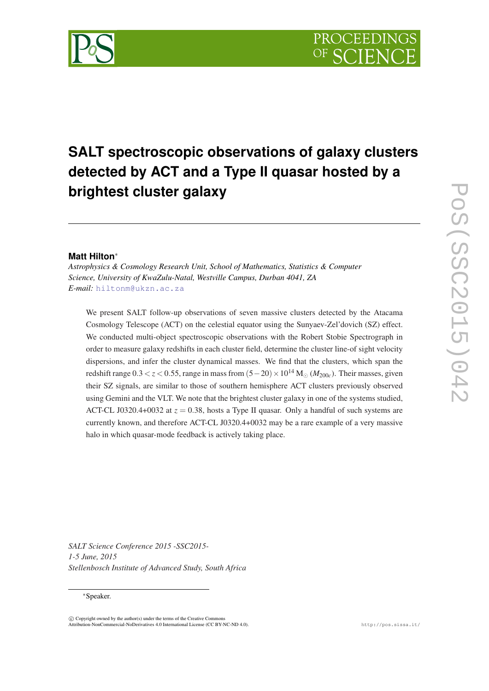# **SALT spectroscopic observations of galaxy clusters detected by ACT and a Type II quasar hosted by a brightest cluster galaxy**

## **Matt Hilton**<sup>∗</sup>

*Astrophysics & Cosmology Research Unit, School of Mathematics, Statistics & Computer Science, University of KwaZulu-Natal, Westville Campus, Durban 4041, ZA E-mail:* [hiltonm@ukzn.ac.za](mailto:hiltonm@ukzn.ac.za)

We present SALT follow-up observations of seven massive clusters detected by the Atacama Cosmology Telescope (ACT) on the celestial equator using the Sunyaev-Zel'dovich (SZ) effect. We conducted multi-object spectroscopic observations with the Robert Stobie Spectrograph in order to measure galaxy redshifts in each cluster field, determine the cluster line-of sight velocity dispersions, and infer the cluster dynamical masses. We find that the clusters, which span the redshift range  $0.3 < z < 0.55$ , range in mass from  $(5-20) \times 10^{14}$  M<sub>o</sub>  $(M_{200c})$ . Their masses, given their SZ signals, are similar to those of southern hemisphere ACT clusters previously observed using Gemini and the VLT. We note that the brightest cluster galaxy in one of the systems studied, ACT-CL J0320.4+0032 at  $z = 0.38$ , hosts a Type II quasar. Only a handful of such systems are currently known, and therefore ACT-CL J0320.4+0032 may be a rare example of a very massive halo in which quasar-mode feedback is actively taking place.

*SALT Science Conference 2015 -SSC2015- 1-5 June, 2015 Stellenbosch Institute of Advanced Study, South Africa*

#### <sup>∗</sup>Speaker.

 $\overline{c}$  Copyright owned by the author(s) under the terms of the Creative Common Attribution-NonCommercial-NoDerivatives 4.0 International License (CC BY-NC-ND 4.0). http://pos.sissa.it/